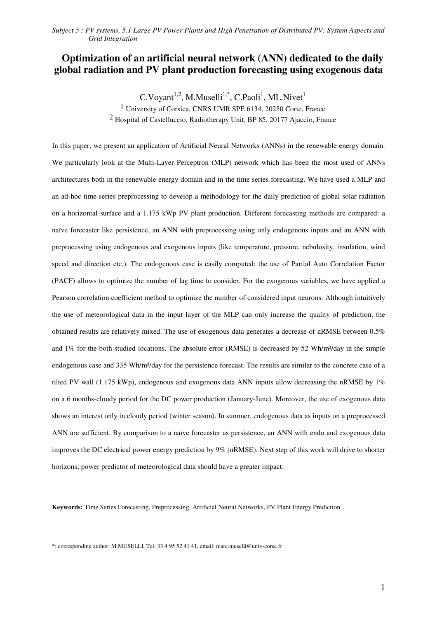# **Optimization of an artificial neural network (ANN) dedicated to the daily global radiation and PV plant production forecasting using exogenous data**

 $C.Voyant<sup>1,2</sup>, M.Muselli<sup>1,*</sup>, C.Paoli<sup>1</sup>, ML.Nivet<sup>1</sup>$ 

1 University of Corsica, CNRS UMR SPE 6134, 20250 Corte, France 2 Hospital of Castelluccio, Radiotherapy Unit, BP 85, 20177 Ajaccio, France

In this paper, we present an application of Artificial Neural Networks (ANNs) in the renewable energy domain. We particularly look at the Multi-Layer Perceptron (MLP) network which has been the most used of ANNs architectures both in the renewable energy domain and in the time series forecasting. We have used a MLP and an ad-hoc time series preprocessing to develop a methodology for the daily prediction of global solar radiation on a horizontal surface and a 1.175 kWp PV plant production. Different forecasting methods are compared: a naïve forecaster like persistence, an ANN with preprocessing using only endogenous inputs and an ANN with preprocessing using endogenous and exogenous inputs (like temperature, pressure, nebulosity, insulation, wind speed and direction etc.). The endogenous case is easily computed: the use of Partial Auto Correlation Factor (PACF) allows to optimize the number of lag time to consider. For the exogenous variables, we have applied a Pearson correlation coefficient method to optimize the number of considered input neurons. Although intuitively the use of meteorological data in the input layer of the MLP can only increase the quality of prediction, the obtained results are relatively mixed. The use of exogenous data generates a decrease of nRMSE between 0.5% and 1% for the both studied locations. The absolute error (RMSE) is decreased by 52 Wh/m²/day in the simple endogenous case and 335 Wh/m²/day for the persistence forecast. The results are similar to the concrete case of a tilted PV wall (1.175 kWp), endogenous and exogenous data ANN inputs allow decreasing the nRMSE by  $1\%$ on a 6 months-cloudy period for the DC power production (January-June). Moreover, the use of exogenous data shows an interest only in cloudy period (winter season). In summer, endogenous data as inputs on a preprocessed ANN are sufficient. By comparison to a naïve forecaster as persistence, an ANN with endo and exogenous data improves the DC electrical power energy prediction by 9% (nRMSE). Next step of this work will drive to shorter horizons; power predictor of meteorological data should have a greater impact.

**Keywords:** Time Series Forecasting, Preprocessing, Artificial Neural Networks, PV Plant Energy Prediction

\*: corresponding author: M.MUSELLI, Tel: 33 4 95 52 41 41, email: marc.muselli@univ-corse.fr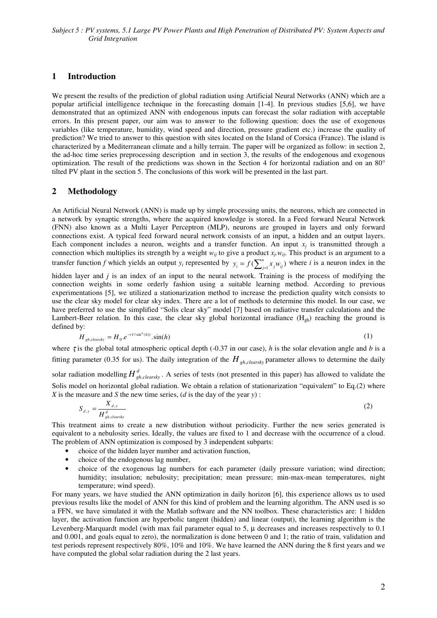## **1 Introduction**

We present the results of the prediction of global radiation using Artificial Neural Networks (ANN) which are a popular artificial intelligence technique in the forecasting domain [1-4]. In previous studies [5,6], we have demonstrated that an optimized ANN with endogenous inputs can forecast the solar radiation with acceptable errors. In this present paper, our aim was to answer to the following question: does the use of exogenous variables (like temperature, humidity, wind speed and direction, pressure gradient etc.) increase the quality of prediction? We tried to answer to this question with sites located on the Island of Corsica (France). The island is characterized by a Mediterranean climate and a hilly terrain. The paper will be organized as follow: in section 2, the ad-hoc time series preprocessing description and in section 3, the results of the endogenous and exogenous optimization. The result of the predictions was shown in the Section 4 for horizontal radiation and on an 80° tilted PV plant in the section 5. The conclusions of this work will be presented in the last part.

## **2 Methodology**

An Artificial Neural Network (ANN) is made up by simple processing units, the neurons, which are connected in a network by synaptic strengths, where the acquired knowledge is stored. In a Feed forward Neural Network (FNN) also known as a Multi Layer Perceptron (MLP), neurons are grouped in layers and only forward connections exist. A typical feed forward neural network consists of an input, a hidden and an output layers. Each component includes a neuron, weights and a transfer function. An input  $x_j$  is transmitted through a connection which multiplies its strength by a weight  $w_{ij}$  to give a product  $x_j$ ,  $w_{ij}$ . This product is an argument to a transfer function *f* which yields an output  $y_i$  represented by  $y_i = f(\sum_{j=1}^n x_j w_{ij})$  $y_i = f(\sum_{j=1}^n x_j w_{ij})$  where *i* is a neuron index in the

hidden layer and *j* is an index of an input to the neural network. Training is the process of modifying the connection weights in some orderly fashion using a suitable learning method. According to previous experimentations [5], we utilized a stationarization method to increase the prediction quality witch consists to use the clear sky model for clear sky index. There are a lot of methods to determine this model. In our case, we have preferred to use the simplified "Solis clear sky" model [7] based on radiative transfer calculations and the Lambert-Beer relation. In this case, the clear sky global horizontal irradiance  $(H_{gh})$  reaching the ground is defined by:

$$
H_{gh,clearsky} = H_0.e^{-(\tau/\sin^b(h))} \cdot \sin(h) \tag{1}
$$

where  $\tau$  is the global total atmospheric optical depth (-0.37 in our case), *h* is the solar elevation angle and *b* is a fitting parameter (0.35 for us). The daily integration of the  $H_{gh, clearsky}$  parameter allows to determine the daily solar radiation modelling  $H_{gh,clearsky}^d$ . A series of tests (not presented in this paper) has allowed to validate the Solis model on horizontal global radiation. We obtain a relation of stationarization "equivalent" to Eq.(2) where

*X* is the measure and *S* the new time series, (*d* is the day of the year *y*) :  $\overline{X}_{d,y}$ (2)

$$
S_{d,y} = \frac{a,y}{H_{gh,clearsky}^d}
$$
 (2)

This treatment aims to create a new distribution without periodicity. Further the new series generated is equivalent to a nebulosity series. Ideally, the values are fixed to 1 and decrease with the occurrence of a cloud. The problem of ANN optimization is composed by 3 independent subparts:

- choice of the hidden layer number and activation function,
- choice of the endogenous lag number,
- choice of the exogenous lag numbers for each parameter (daily pressure variation; wind direction; humidity; insulation; nebulosity; precipitation; mean pressure; min-max-mean temperatures, night temperature; wind speed).

For many years, we have studied the ANN optimization in daily horizon [6], this experience allows us to used previous results like the model of ANN for this kind of problem and the learning algorithm. The ANN used is so a FFN, we have simulated it with the Matlab software and the NN toolbox. These characteristics are: 1 hidden layer, the activation function are hyperbolic tangent (hidden) and linear (output), the learning algorithm is the Levenberg-Marquardt model (with max fail parameter equal to  $5$ ,  $\mu$  decreases and increases respectively to 0.1 and 0.001, and goals equal to zero), the normalization is done between 0 and 1; the ratio of train, validation and test periods represent respectively 80%, 10% and 10%. We have learned the ANN during the 8 first years and we have computed the global solar radiation during the 2 last years.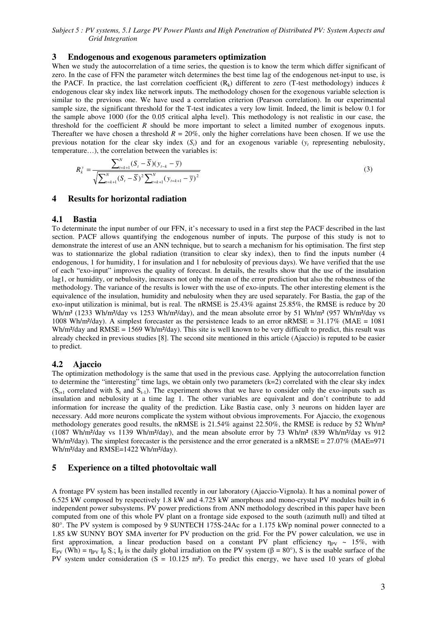### **3 Endogenous and exogenous parameters optimization**

When we study the autocorrelation of a time series, the question is to know the term which differ significant of zero. In the case of FFN the parameter witch determines the best time lag of the endogenous net-input to use, is the PACF. In practice, the last correlation coefficient  $(R_k)$  different to zero (T-test methodology) induces  $k$ endogenous clear sky index like network inputs. The methodology chosen for the exogenous variable selection is similar to the previous one. We have used a correlation criterion (Pearson correlation). In our experimental sample size, the significant threshold for the T-test indicates a very low limit. Indeed, the limit is below 0.1 for the sample above 1000 (for the 0.05 critical alpha level). This methodology is not realistic in our case, the threshold for the coefficient *R* should be more important to select a limited number of exogenous inputs. Thereafter we have chosen a threshold  $R = 20\%$ , only the higher correlations have been chosen. If we use the previous notation for the clear sky index  $(S_t)$  and for an exogenous variable  $(y_t$  representing nebulosity, temperature…), the correlation between the variables is:

$$
R_k^{\gamma} = \frac{\sum_{t=k+1}^{N} (S_t - \overline{S})(y_{t-k} - \overline{y})}{\sqrt{\sum_{t=k+1}^{N} (S_t - \overline{S})^2 \sum_{t=k+1}^{N} (y_{t=k+1} - \overline{y})^2}}
$$
(3)

### **4 Results for horizontal radiation**

#### **4.1 Bastia**

To determinate the input number of our FFN, it's necessary to used in a first step the PACF described in the last section. PACF allows quantifying the endogenous number of inputs. The purpose of this study is not to demonstrate the interest of use an ANN technique, but to search a mechanism for his optimisation. The first step was to stationnarize the global radiation (transition to clear sky index), then to find the inputs number (4 endogenous, 1 for humidity, 1 for insulation and 1 for nebulosity of previous days). We have verified that the use of each "exo-input" improves the quality of forecast. In details, the results show that the use of the insulation lag1, or humidity, or nebulosity, increases not only the mean of the error prediction but also the robustness of the methodology. The variance of the results is lower with the use of exo-inputs. The other interesting element is the equivalence of the insulation, humidity and nebulosity when they are used separately. For Bastia, the gap of the exo-input utilization is minimal, but is real. The nRMSE is 25.43% against 25.85%, the RMSE is reduce by 20 Wh/m<sup>2</sup> (1233 Wh/m<sup>2</sup>/day vs 1253 Wh/m<sup>2</sup>/day), and the mean absolute error by 51 Wh/m<sup>2</sup> (957 Wh/m<sup>2</sup>/day vs 1008 Wh/m<sup>2</sup>/day). A simplest forecaster as the persistence leads to an error nRMSE =  $31.17\%$  (MAE =  $1081$ ) Wh/m<sup>2</sup>/day and RMSE = 1569 Wh/m<sup>2</sup>/day). This site is well known to be very difficult to predict, this result was already checked in previous studies [8]. The second site mentioned in this article (Ajaccio) is reputed to be easier to predict.

#### **4.2 Ajaccio**

The optimization methodology is the same that used in the previous case. Applying the autocorrelation function to determine the "interesting" time lags, we obtain only two parameters  $(k=2)$  correlated with the clear sky index  $(S_{t+1}$  correlated with  $S_t$  and  $S_{t-1}$ ). The experiment shows that we have to consider only the exo-inputs such as insulation and nebulosity at a time lag 1. The other variables are equivalent and don't contribute to add information for increase the quality of the prediction. Like Bastia case, only 3 neurons on hidden layer are necessary. Add more neurons complicate the system without obvious improvements. For Ajaccio, the exogenous methodology generates good results, the nRMSE is 21.54% against 22.50%, the RMSE is reduce by 52 Wh/m<sup>2</sup> (1087 Wh/m²/day vs 1139 Wh/m²/day), and the mean absolute error by 73 Wh/m² (839 Wh/m²/day vs 912 Wh/m<sup>2</sup>/day). The simplest forecaster is the persistence and the error generated is a nRMSE =  $27.07\%$  (MAE= $971$ ) Wh/m<sup>2</sup>/day and RMSE=1422 Wh/m<sup>2</sup>/day).

### **5 Experience on a tilted photovoltaic wall**

A frontage PV system has been installed recently in our laboratory (Ajaccio-Vignola). It has a nominal power of 6.525 kW composed by respectively 1.8 kW and 4.725 kW amorphous and mono-crystal PV modules built in 6 independent power subsystems. PV power predictions from ANN methodology described in this paper have been computed from one of this whole PV plant on a frontage side exposed to the south (azimuth null) and tilted at 80°. The PV system is composed by 9 SUNTECH 175S-24Ac for a 1.175 kWp nominal power connected to a 1.85 kW SUNNY BOY SMA inverter for PV production on the grid. For the PV power calculation, we use in first approximation, a linear production based on a constant PV plant efficiency  $n_{PV} \sim 15\%$ , with  $E_{PV}$  (Wh) =  $\eta_{PV}$  I<sub>B</sub> S.; I<sub>B</sub> is the daily global irradiation on the PV system ( $\beta = 80^{\circ}$ ), S is the usable surface of the PV system under consideration  $(S = 10.125 \text{ m}^2)$ . To predict this energy, we have used 10 years of global